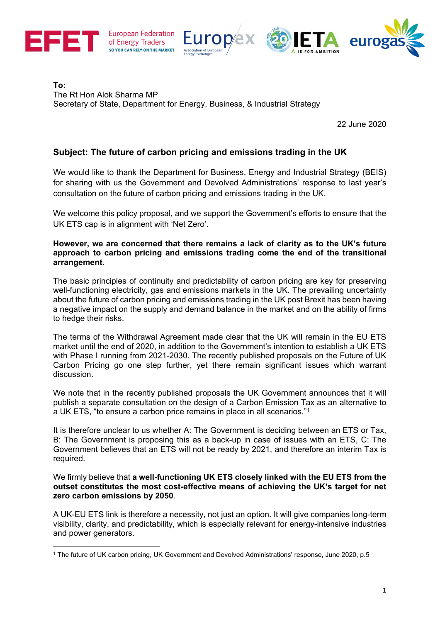





**To:** The Rt Hon Alok Sharma MP Secretary of State, Department for Energy, Business, & Industrial Strategy

22 June 2020

## **Subject: The future of carbon pricing and emissions trading in the UK**

We would like to thank the Department for Business, Energy and Industrial Strategy (BEIS) for sharing with us the Government and Devolved Administrations' response to last year's consultation on the future of carbon pricing and emissions trading in the UK.

We welcome this policy proposal, and we support the Government's efforts to ensure that the UK ETS cap is in alignment with 'Net Zero'.

#### **However, we are concerned that there remains a lack of clarity as to the UK's future approach to carbon pricing and emissions trading come the end of the transitional arrangement.**

The basic principles of continuity and predictability of carbon pricing are key for preserving well-functioning electricity, gas and emissions markets in the UK. The prevailing uncertainty about the future of carbon pricing and emissions trading in the UK post Brexit has been having a negative impact on the supply and demand balance in the market and on the ability of firms to hedge their risks.

The terms of the Withdrawal Agreement made clear that the UK will remain in the EU ETS market until the end of 2020, in addition to the Government's intention to establish a UK ETS with Phase I running from 2021-2030. The recently published proposals on the Future of UK Carbon Pricing go one step further, yet there remain significant issues which warrant discussion.

We note that in the recently published proposals the UK Government announces that it will publish a separate consultation on the design of a Carbon Emission Tax as an alternative to a UK ETS, "to ensure a carbon price remains in place in all scenarios."[1](#page-0-0)

It is therefore unclear to us whether A: The Government is deciding between an ETS or Tax, B: The Government is proposing this as a back-up in case of issues with an ETS, C: The Government believes that an ETS will not be ready by 2021, and therefore an interim Tax is required.

We firmly believe that **a well-functioning UK ETS closely linked with the EU ETS from the outset constitutes the most cost-effective means of achieving the UK's target for net zero carbon emissions by 2050**.

A UK-EU ETS link is therefore a necessity, not just an option. It will give companies long-term visibility, clarity, and predictability, which is especially relevant for energy-intensive industries and power generators.

<span id="page-0-0"></span><sup>&</sup>lt;u>.</u> <sup>1</sup> The future of UK carbon pricing, UK Government and Devolved Administrations' response, June 2020, p.5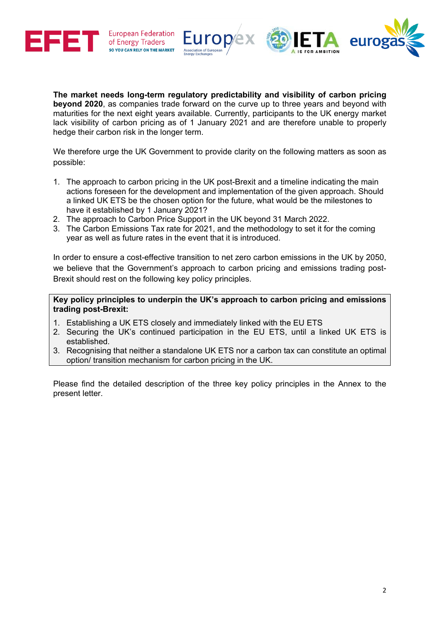



**The market needs long-term regulatory predictability and visibility of carbon pricing beyond 2020**, as companies trade forward on the curve up to three years and beyond with maturities for the next eight years available. Currently, participants to the UK energy market lack visibility of carbon pricing as of 1 January 2021 and are therefore unable to properly hedge their carbon risk in the longer term.

We therefore urge the UK Government to provide clarity on the following matters as soon as possible:

- 1. The approach to carbon pricing in the UK post-Brexit and a timeline indicating the main actions foreseen for the development and implementation of the given approach. Should a linked UK ETS be the chosen option for the future, what would be the milestones to have it established by 1 January 2021?
- 2. The approach to Carbon Price Support in the UK beyond 31 March 2022.
- 3. The Carbon Emissions Tax rate for 2021, and the methodology to set it for the coming year as well as future rates in the event that it is introduced.

In order to ensure a cost-effective transition to net zero carbon emissions in the UK by 2050, we believe that the Government's approach to carbon pricing and emissions trading post-Brexit should rest on the following key policy principles.

#### **Key policy principles to underpin the UK's approach to carbon pricing and emissions trading post-Brexit:**

- 1. Establishing a UK ETS closely and immediately linked with the EU ETS
- 2. Securing the UK's continued participation in the EU ETS, until a linked UK ETS is established.
- 3. Recognising that neither a standalone UK ETS nor a carbon tax can constitute an optimal option/ transition mechanism for carbon pricing in the UK.

Please find the detailed description of the three key policy principles in the Annex to the present letter.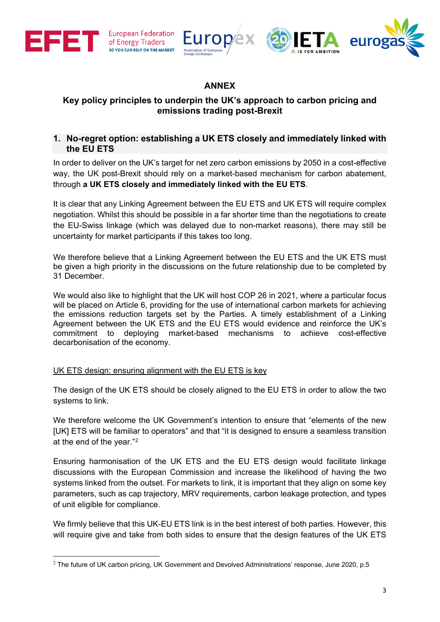







# **ANNEX**

## **Key policy principles to underpin the UK's approach to carbon pricing and emissions trading post-Brexit**

## **1. No-regret option: establishing a UK ETS closely and immediately linked with the EU ETS**

In order to deliver on the UK's target for net zero carbon emissions by 2050 in a cost-effective way, the UK post-Brexit should rely on a market-based mechanism for carbon abatement, through **a UK ETS closely and immediately linked with the EU ETS**.

It is clear that any Linking Agreement between the EU ETS and UK ETS will require complex negotiation. Whilst this should be possible in a far shorter time than the negotiations to create the EU-Swiss linkage (which was delayed due to non-market reasons), there may still be uncertainty for market participants if this takes too long.

We therefore believe that a Linking Agreement between the EU ETS and the UK ETS must be given a high priority in the discussions on the future relationship due to be completed by 31 December.

We would also like to highlight that the UK will host COP 26 in 2021, where a particular focus will be placed on Article 6, providing for the use of international carbon markets for achieving the emissions reduction targets set by the Parties. A timely establishment of a Linking Agreement between the UK ETS and the EU ETS would evidence and reinforce the UK's commitment to deploying market-based mechanisms to achieve cost-effective decarbonisation of the economy.

### UK ETS design: ensuring alignment with the EU ETS is key

The design of the UK ETS should be closely aligned to the EU ETS in order to allow the two systems to link.

We therefore welcome the UK Government's intention to ensure that "elements of the new [UK] ETS will be familiar to operators" and that "it is designed to ensure a seamless transition at the end of the year."[2](#page-2-0)

Ensuring harmonisation of the UK ETS and the EU ETS design would facilitate linkage discussions with the European Commission and increase the likelihood of having the two systems linked from the outset. For markets to link, it is important that they align on some key parameters, such as cap trajectory, MRV requirements, carbon leakage protection, and types of unit eligible for compliance.

We firmly believe that this UK-EU ETS link is in the best interest of both parties. However, this will require give and take from both sides to ensure that the design features of the UK ETS

<span id="page-2-0"></span> $2$  The future of UK carbon pricing, UK Government and Devolved Administrations' response, June 2020, p.5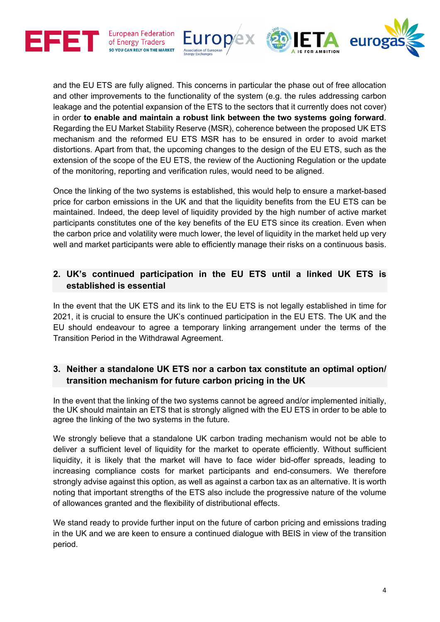





and the EU ETS are fully aligned. This concerns in particular the phase out of free allocation and other improvements to the functionality of the system (e.g. the rules addressing carbon leakage and the potential expansion of the ETS to the sectors that it currently does not cover) in order **to enable and maintain a robust link between the two systems going forward**. Regarding the EU Market Stability Reserve (MSR), coherence between the proposed UK ETS mechanism and the reformed EU ETS MSR has to be ensured in order to avoid market distortions. Apart from that, the upcoming changes to the design of the EU ETS, such as the extension of the scope of the EU ETS, the review of the Auctioning Regulation or the update of the monitoring, reporting and verification rules, would need to be aligned.

Once the linking of the two systems is established, this would help to ensure a market-based price for carbon emissions in the UK and that the liquidity benefits from the EU ETS can be maintained. Indeed, the deep level of liquidity provided by the high number of active market participants constitutes one of the key benefits of the EU ETS since its creation. Even when the carbon price and volatility were much lower, the level of liquidity in the market held up very well and market participants were able to efficiently manage their risks on a continuous basis.

# **2. UK's continued participation in the EU ETS until a linked UK ETS is established is essential**

In the event that the UK ETS and its link to the EU ETS is not legally established in time for 2021, it is crucial to ensure the UK's continued participation in the EU ETS. The UK and the EU should endeavour to agree a temporary linking arrangement under the terms of the Transition Period in the Withdrawal Agreement.

# **3. Neither a standalone UK ETS nor a carbon tax constitute an optimal option/ transition mechanism for future carbon pricing in the UK**

In the event that the linking of the two systems cannot be agreed and/or implemented initially, the UK should maintain an ETS that is strongly aligned with the EU ETS in order to be able to agree the linking of the two systems in the future.

We strongly believe that a standalone UK carbon trading mechanism would not be able to deliver a sufficient level of liquidity for the market to operate efficiently. Without sufficient liquidity, it is likely that the market will have to face wider bid-offer spreads, leading to increasing compliance costs for market participants and end-consumers. We therefore strongly advise against this option, as well as against a carbon tax as an alternative. It is worth noting that important strengths of the ETS also include the progressive nature of the volume of allowances granted and the flexibility of distributional effects.

We stand ready to provide further input on the future of carbon pricing and emissions trading in the UK and we are keen to ensure a continued dialogue with BEIS in view of the transition period.